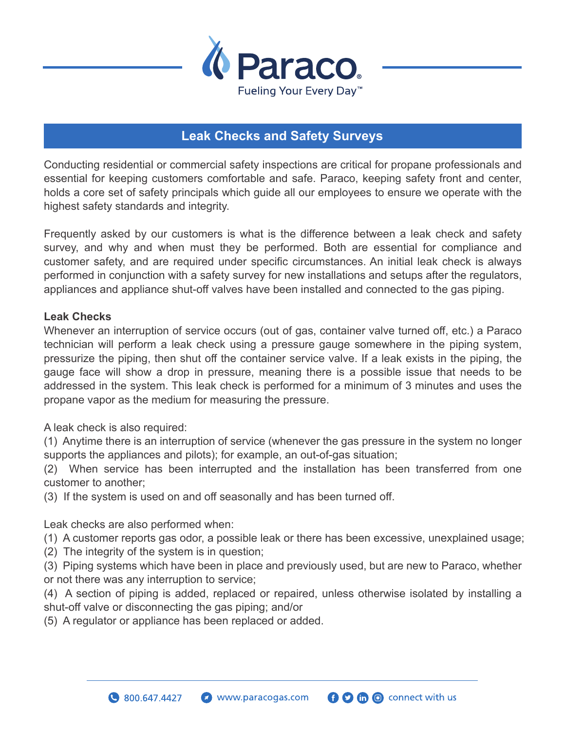

## **Leak Checks and Safety Surveys**

Conducting residential or commercial safety inspections are critical for propane professionals and essential for keeping customers comfortable and safe. Paraco, keeping safety front and center, holds a core set of safety principals which guide all our employees to ensure we operate with the highest safety standards and integrity.

Frequently asked by our customers is what is the difference between a leak check and safety survey, and why and when must they be performed. Both are essential for compliance and customer safety, and are required under specific circumstances. An initial leak check is always performed in conjunction with a safety survey for new installations and setups after the regulators, appliances and appliance shut-off valves have been installed and connected to the gas piping.

## **Leak Checks**

Whenever an interruption of service occurs (out of gas, container valve turned off, etc.) a Paraco technician will perform a leak check using a pressure gauge somewhere in the piping system, pressurize the piping, then shut off the container service valve. If a leak exists in the piping, the gauge face will show a drop in pressure, meaning there is a possible issue that needs to be addressed in the system. This leak check is performed for a minimum of 3 minutes and uses the propane vapor as the medium for measuring the pressure.

A leak check is also required:

(1) Anytime there is an interruption of service (whenever the gas pressure in the system no longer supports the appliances and pilots); for example, an out-of-gas situation;

(2) When service has been interrupted and the installation has been transferred from one customer to another;

(3) If the system is used on and off seasonally and has been turned off.

Leak checks are also performed when:

(1) A customer reports gas odor, a possible leak or there has been excessive, unexplained usage;

(2) The integrity of the system is in question;

(3) Piping systems which have been in place and previously used, but are new to Paraco, whether or not there was any interruption to service;

(4) A section of piping is added, replaced or repaired, unless otherwise isolated by installing a shut-off valve or disconnecting the gas piping; and/or

(5) A regulator or appliance has been replaced or added.